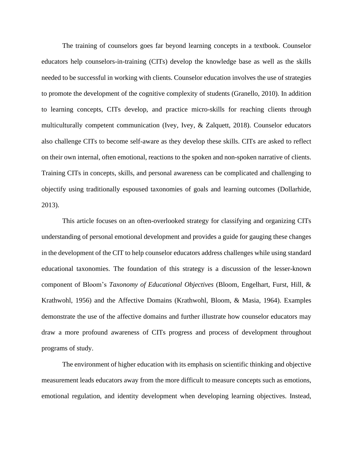The training of counselors goes far beyond learning concepts in a textbook. Counselor educators help counselors-in-training (CITs) develop the knowledge base as well as the skills needed to be successful in working with clients. Counselor education involves the use of strategies to promote the development of the cognitive complexity of students (Granello, 2010). In addition to learning concepts, CITs develop, and practice micro-skills for reaching clients through multiculturally competent communication (Ivey, Ivey, & Zalquett, 2018). Counselor educators also challenge CITs to become self-aware as they develop these skills. CITs are asked to reflect on their own internal, often emotional, reactions to the spoken and non-spoken narrative of clients. Training CITs in concepts, skills, and personal awareness can be complicated and challenging to objectify using traditionally espoused taxonomies of goals and learning outcomes (Dollarhide, 2013).

This article focuses on an often-overlooked strategy for classifying and organizing CITs understanding of personal emotional development and provides a guide for gauging these changes in the development of the CIT to help counselor educators address challenges while using standard educational taxonomies. The foundation of this strategy is a discussion of the lesser-known component of Bloom's *Taxonomy of Educational Objectives* (Bloom, Engelhart, Furst, Hill, & Krathwohl, 1956) and the Affective Domains (Krathwohl, Bloom, & Masia, 1964). Examples demonstrate the use of the affective domains and further illustrate how counselor educators may draw a more profound awareness of CITs progress and process of development throughout programs of study.

The environment of higher education with its emphasis on scientific thinking and objective measurement leads educators away from the more difficult to measure concepts such as emotions, emotional regulation, and identity development when developing learning objectives. Instead,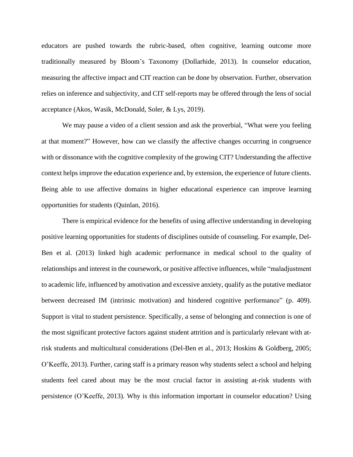educators are pushed towards the rubric-based, often cognitive, learning outcome more traditionally measured by Bloom's Taxonomy (Dollarhide, 2013). In counselor education, measuring the affective impact and CIT reaction can be done by observation. Further, observation relies on inference and subjectivity, and CIT self-reports may be offered through the lens of social acceptance (Akos, Wasik, McDonald, Soler, & Lys, 2019).

We may pause a video of a client session and ask the proverbial, "What were you feeling at that moment?" However, how can we classify the affective changes occurring in congruence with or dissonance with the cognitive complexity of the growing CIT? Understanding the affective context helps improve the education experience and, by extension, the experience of future clients. Being able to use affective domains in higher educational experience can improve learning opportunities for students (Quinlan, 2016).

There is empirical evidence for the benefits of using affective understanding in developing positive learning opportunities for students of disciplines outside of counseling. For example, Del-Ben et al. (2013) linked high academic performance in medical school to the quality of relationships and interest in the coursework, or positive affective influences, while "maladjustment to academic life, influenced by amotivation and excessive anxiety, qualify as the putative mediator between decreased IM (intrinsic motivation) and hindered cognitive performance" (p. 409). Support is vital to student persistence. Specifically, a sense of belonging and connection is one of the most significant protective factors against student attrition and is particularly relevant with atrisk students and multicultural considerations (Del-Ben et al., 2013; Hoskins & Goldberg, 2005; O'Keeffe, 2013). Further, caring staff is a primary reason why students select a school and helping students feel cared about may be the most crucial factor in assisting at-risk students with persistence (O'Keeffe, 2013). Why is this information important in counselor education? Using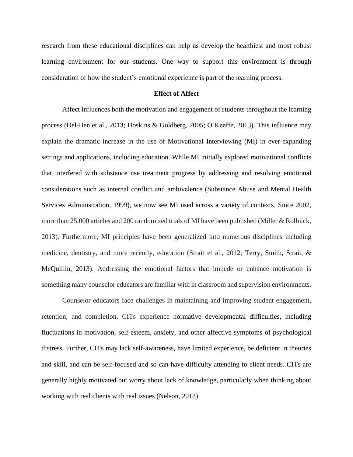research from these educational disciplines can help us develop the healthiest and most robust learning environment for our students. One way to support this environment is through consideration of how the student's emotional experience is part of the learning process.

## **Effect of Affect**

Affect influences both the motivation and engagement of students throughout the learning process (Del-Ben et al., 2013; Hoskins & Goldberg, 2005; O'Keeffe, 2013). This influence may explain the dramatic increase in the use of Motivational Interviewing (MI) in ever-expanding settings and applications, including education. While MI initially explored motivational conflicts that interfered with substance use treatment progress by addressing and resolving emotional considerations such as internal conflict and ambivalence (Substance Abuse and Mental Health Services Administration, 1999), we now see MI used across a variety of contexts. Since 2002, more than 25,000 articles and 200 randomized trials of MI have been published (Miller & Rollnick, 2013). Furthermore, MI principles have been generalized into numerous disciplines including medicine, dentistry, and more recently, education (Strait et al., 2012; Terry, Smith, Strait, & McQuillin, 2013). Addressing the emotional factors that impede or enhance motivation is something many counselor educators are familiar with in classroom and supervision environments.

Counselor educators face challenges in maintaining and improving student engagement, retention, and completion. CITs experience normative developmental difficulties, including fluctuations in motivation, self-esteem, anxiety, and other affective symptoms of psychological distress. Further, CITs may lack self-awareness, have limited experience, be deficient in theories and skill, and can be self-focused and so can have difficulty attending to client needs. CITs are generally highly motivated but worry about lack of knowledge, particularly when thinking about working with real clients with real issues (Nelson, 2013).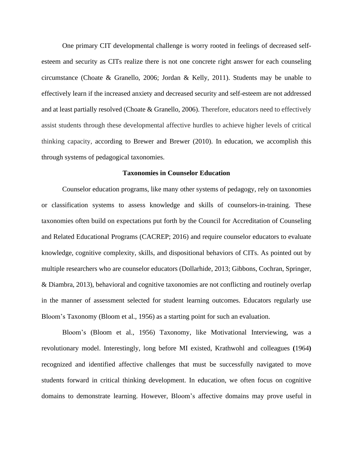One primary CIT developmental challenge is worry rooted in feelings of decreased selfesteem and security as CITs realize there is not one concrete right answer for each counseling circumstance (Choate & Granello, 2006; Jordan & Kelly, 2011). Students may be unable to effectively learn if the increased anxiety and decreased security and self-esteem are not addressed and at least partially resolved (Choate & Granello, 2006). Therefore, educators need to effectively assist students through these developmental affective hurdles to achieve higher levels of critical thinking capacity, according to Brewer and Brewer (2010). In education, we accomplish this through systems of pedagogical taxonomies.

#### **Taxonomies in Counselor Education**

Counselor education programs, like many other systems of pedagogy, rely on taxonomies or classification systems to assess knowledge and skills of counselors-in-training. These taxonomies often build on expectations put forth by the Council for Accreditation of Counseling and Related Educational Programs (CACREP; 2016) and require counselor educators to evaluate knowledge, cognitive complexity, skills, and dispositional behaviors of CITs. As pointed out by multiple researchers who are counselor educators (Dollarhide, 2013; Gibbons, Cochran, Springer, & Diambra, 2013), behavioral and cognitive taxonomies are not conflicting and routinely overlap in the manner of assessment selected for student learning outcomes. Educators regularly use Bloom's Taxonomy (Bloom et al., 1956) as a starting point for such an evaluation.

Bloom's (Bloom et al., 1956) Taxonomy, like Motivational Interviewing, was a revolutionary model. Interestingly, long before MI existed, Krathwohl and colleagues **(**1964**)** recognized and identified affective challenges that must be successfully navigated to move students forward in critical thinking development. In education, we often focus on cognitive domains to demonstrate learning. However, Bloom's affective domains may prove useful in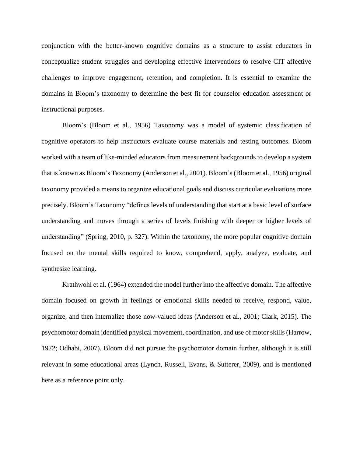conjunction with the better-known cognitive domains as a structure to assist educators in conceptualize student struggles and developing effective interventions to resolve CIT affective challenges to improve engagement, retention, and completion. It is essential to examine the domains in Bloom's taxonomy to determine the best fit for counselor education assessment or instructional purposes.

Bloom's (Bloom et al., 1956) Taxonomy was a model of systemic classification of cognitive operators to help instructors evaluate course materials and testing outcomes. Bloom worked with a team of like-minded educators from measurement backgrounds to develop a system that is known as Bloom's Taxonomy (Anderson et al., 2001). Bloom's(Bloom et al., 1956) original taxonomy provided a means to organize educational goals and discuss curricular evaluations more precisely. Bloom's Taxonomy "defines levels of understanding that start at a basic level of surface understanding and moves through a series of levels finishing with deeper or higher levels of understanding" (Spring, 2010, p. 327). Within the taxonomy, the more popular cognitive domain focused on the mental skills required to know, comprehend, apply, analyze, evaluate, and synthesize learning.

Krathwohl et al. **(**1964**)** extended the model further into the affective domain. The affective domain focused on growth in feelings or emotional skills needed to receive, respond, value, organize, and then internalize those now-valued ideas (Anderson et al., 2001; Clark, 2015). The psychomotor domain identified physical movement, coordination, and use of motorskills(Harrow, 1972; Odhabi, 2007). Bloom did not pursue the psychomotor domain further, although it is still relevant in some educational areas (Lynch, Russell, Evans, & Sutterer, 2009), and is mentioned here as a reference point only.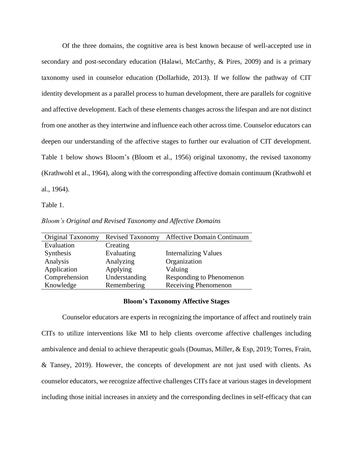Of the three domains, the cognitive area is best known because of well-accepted use in secondary and post-secondary education (Halawi, McCarthy, & Pires, 2009) and is a primary taxonomy used in counselor education (Dollarhide, 2013). If we follow the pathway of CIT identity development as a parallel process to human development, there are parallels for cognitive and affective development. Each of these elements changes across the lifespan and are not distinct from one another as they intertwine and influence each other across time. Counselor educators can deepen our understanding of the affective stages to further our evaluation of CIT development. Table 1 below shows Bloom's (Bloom et al., 1956) original taxonomy, the revised taxonomy (Krathwohl et al., 1964), along with the corresponding affective domain continuum (Krathwohl et al., 1964).

Table 1.

*Bloom's Original and Revised Taxonomy and Affective Domains*

| <b>Original Taxonomy</b> | <b>Revised Taxonomy</b> | <b>Affective Domain Continuum</b> |
|--------------------------|-------------------------|-----------------------------------|
| Evaluation               | Creating                |                                   |
| Synthesis                | Evaluating              | <b>Internalizing Values</b>       |
| Analysis                 | Analyzing               | Organization                      |
| Application              | Applying                | Valuing                           |
| Comprehension            | Understanding           | Responding to Phenomenon          |
| Knowledge                | Remembering             | Receiving Phenomenon              |
|                          |                         |                                   |

# **Bloom's Taxonomy Affective Stages**

Counselor educators are experts in recognizing the importance of affect and routinely train CITs to utilize interventions like MI to help clients overcome affective challenges including ambivalence and denial to achieve therapeutic goals (Doumas, Miller, & Esp, 2019; Torres, Frain, & Tansey, 2019). However, the concepts of development are not just used with clients. As counselor educators, we recognize affective challenges CITs face at various stages in development including those initial increases in anxiety and the corresponding declines in self-efficacy that can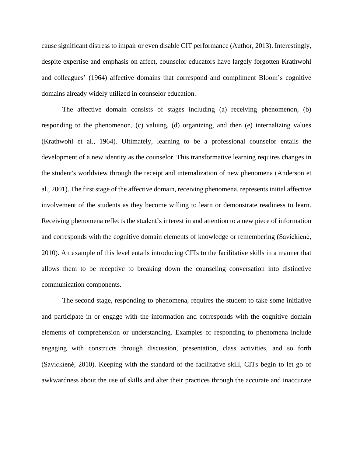cause significant distress to impair or even disable CIT performance (Author, 2013). Interestingly, despite expertise and emphasis on affect, counselor educators have largely forgotten Krathwohl and colleagues' (1964) affective domains that correspond and compliment Bloom's cognitive domains already widely utilized in counselor education.

The affective domain consists of stages including (a) receiving phenomenon, (b) responding to the phenomenon, (c) valuing, (d) organizing, and then (e) internalizing values (Krathwohl et al., 1964). Ultimately, learning to be a professional counselor entails the development of a new identity as the counselor. This transformative learning requires changes in the student's worldview through the receipt and internalization of new phenomena (Anderson et al., 2001). The first stage of the affective domain, receiving phenomena, represents initial affective involvement of the students as they become willing to learn or demonstrate readiness to learn. Receiving phenomena reflects the student's interest in and attention to a new piece of information and corresponds with the cognitive domain elements of knowledge or remembering (Savickienė, 2010). An example of this level entails introducing CITs to the facilitative skills in a manner that allows them to be receptive to breaking down the counseling conversation into distinctive communication components.

The second stage, responding to phenomena, requires the student to take some initiative and participate in or engage with the information and corresponds with the cognitive domain elements of comprehension or understanding. Examples of responding to phenomena include engaging with constructs through discussion, presentation, class activities, and so forth (Savickienė, 2010). Keeping with the standard of the facilitative skill, CITs begin to let go of awkwardness about the use of skills and alter their practices through the accurate and inaccurate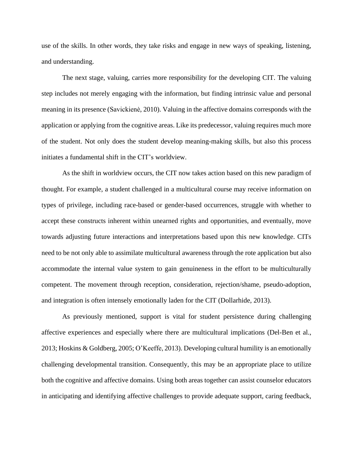use of the skills. In other words, they take risks and engage in new ways of speaking, listening, and understanding.

The next stage, valuing, carries more responsibility for the developing CIT. The valuing step includes not merely engaging with the information, but finding intrinsic value and personal meaning in its presence (Savickienė, 2010). Valuing in the affective domains corresponds with the application or applying from the cognitive areas. Like its predecessor, valuing requires much more of the student. Not only does the student develop meaning-making skills, but also this process initiates a fundamental shift in the CIT's worldview.

As the shift in worldview occurs, the CIT now takes action based on this new paradigm of thought. For example, a student challenged in a multicultural course may receive information on types of privilege, including race-based or gender-based occurrences, struggle with whether to accept these constructs inherent within unearned rights and opportunities, and eventually, move towards adjusting future interactions and interpretations based upon this new knowledge. CITs need to be not only able to assimilate multicultural awareness through the rote application but also accommodate the internal value system to gain genuineness in the effort to be multiculturally competent. The movement through reception, consideration, rejection/shame, pseudo-adoption, and integration is often intensely emotionally laden for the CIT (Dollarhide, 2013).

As previously mentioned, support is vital for student persistence during challenging affective experiences and especially where there are multicultural implications (Del-Ben et al., 2013; Hoskins & Goldberg, 2005; O'Keeffe, 2013). Developing cultural humility is an emotionally challenging developmental transition. Consequently, this may be an appropriate place to utilize both the cognitive and affective domains. Using both areas together can assist counselor educators in anticipating and identifying affective challenges to provide adequate support, caring feedback,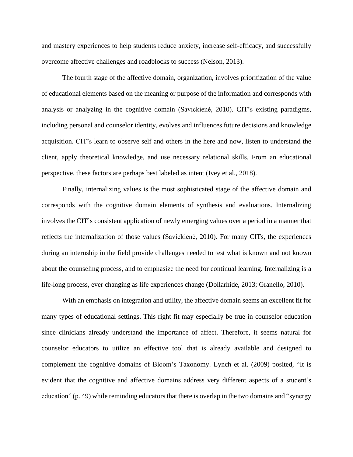and mastery experiences to help students reduce anxiety, increase self-efficacy, and successfully overcome affective challenges and roadblocks to success (Nelson, 2013).

The fourth stage of the affective domain, organization, involves prioritization of the value of educational elements based on the meaning or purpose of the information and corresponds with analysis or analyzing in the cognitive domain (Savickienė, 2010). CIT's existing paradigms, including personal and counselor identity, evolves and influences future decisions and knowledge acquisition. CIT's learn to observe self and others in the here and now, listen to understand the client, apply theoretical knowledge, and use necessary relational skills. From an educational perspective, these factors are perhaps best labeled as intent (Ivey et al., 2018).

Finally, internalizing values is the most sophisticated stage of the affective domain and corresponds with the cognitive domain elements of synthesis and evaluations. Internalizing involves the CIT's consistent application of newly emerging values over a period in a manner that reflects the internalization of those values (Savickienė, 2010). For many CITs, the experiences during an internship in the field provide challenges needed to test what is known and not known about the counseling process, and to emphasize the need for continual learning. Internalizing is a life-long process, ever changing as life experiences change (Dollarhide, 2013; Granello, 2010).

With an emphasis on integration and utility, the affective domain seems an excellent fit for many types of educational settings. This right fit may especially be true in counselor education since clinicians already understand the importance of affect. Therefore, it seems natural for counselor educators to utilize an effective tool that is already available and designed to complement the cognitive domains of Bloom's Taxonomy. Lynch et al. (2009) posited, "It is evident that the cognitive and affective domains address very different aspects of a student's education" (p. 49) while reminding educators that there is overlap in the two domains and "synergy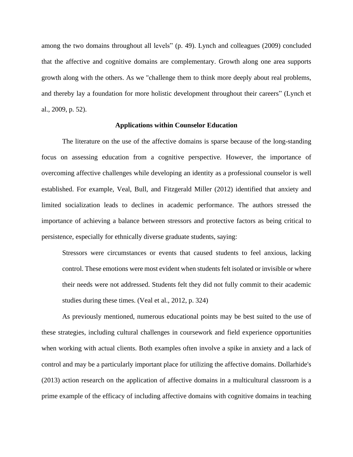among the two domains throughout all levels" (p. 49). Lynch and colleagues (2009) concluded that the affective and cognitive domains are complementary. Growth along one area supports growth along with the others. As we "challenge them to think more deeply about real problems, and thereby lay a foundation for more holistic development throughout their careers" (Lynch et al., 2009, p. 52).

# **Applications within Counselor Education**

The literature on the use of the affective domains is sparse because of the long-standing focus on assessing education from a cognitive perspective. However, the importance of overcoming affective challenges while developing an identity as a professional counselor is well established. For example, Veal, Bull, and Fitzgerald Miller (2012) identified that anxiety and limited socialization leads to declines in academic performance. The authors stressed the importance of achieving a balance between stressors and protective factors as being critical to persistence, especially for ethnically diverse graduate students, saying:

Stressors were circumstances or events that caused students to feel anxious, lacking control. These emotions were most evident when students felt isolated or invisible or where their needs were not addressed. Students felt they did not fully commit to their academic studies during these times. (Veal et al., 2012, p. 324)

As previously mentioned, numerous educational points may be best suited to the use of these strategies, including cultural challenges in coursework and field experience opportunities when working with actual clients. Both examples often involve a spike in anxiety and a lack of control and may be a particularly important place for utilizing the affective domains. Dollarhide's (2013) action research on the application of affective domains in a multicultural classroom is a prime example of the efficacy of including affective domains with cognitive domains in teaching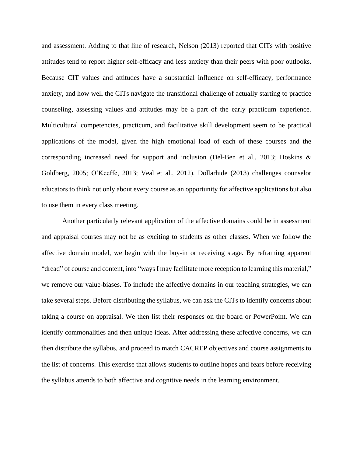and assessment. Adding to that line of research, Nelson (2013) reported that CITs with positive attitudes tend to report higher self-efficacy and less anxiety than their peers with poor outlooks. Because CIT values and attitudes have a substantial influence on self-efficacy, performance anxiety, and how well the CITs navigate the transitional challenge of actually starting to practice counseling, assessing values and attitudes may be a part of the early practicum experience. Multicultural competencies, practicum, and facilitative skill development seem to be practical applications of the model, given the high emotional load of each of these courses and the corresponding increased need for support and inclusion (Del-Ben et al., 2013; Hoskins  $\&$ Goldberg, 2005; O'Keeffe, 2013; Veal et al., 2012). Dollarhide (2013) challenges counselor educators to think not only about every course as an opportunity for affective applications but also to use them in every class meeting.

Another particularly relevant application of the affective domains could be in assessment and appraisal courses may not be as exciting to students as other classes. When we follow the affective domain model, we begin with the buy-in or receiving stage. By reframing apparent "dread" of course and content, into "ways I may facilitate more reception to learning this material," we remove our value-biases. To include the affective domains in our teaching strategies, we can take several steps. Before distributing the syllabus, we can ask the CITs to identify concerns about taking a course on appraisal. We then list their responses on the board or PowerPoint. We can identify commonalities and then unique ideas. After addressing these affective concerns, we can then distribute the syllabus, and proceed to match CACREP objectives and course assignments to the list of concerns. This exercise that allows students to outline hopes and fears before receiving the syllabus attends to both affective and cognitive needs in the learning environment.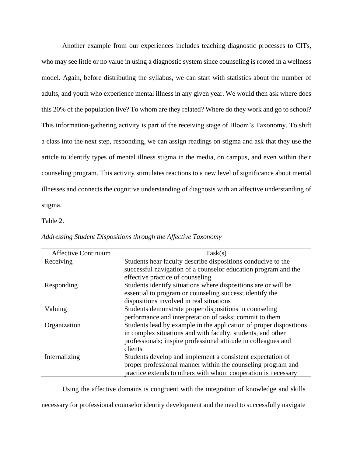Another example from our experiences includes teaching diagnostic processes to CITs, who may see little or no value in using a diagnostic system since counseling is rooted in a wellness model. Again, before distributing the syllabus, we can start with statistics about the number of adults, and youth who experience mental illness in any given year. We would then ask where does this 20% of the population live? To whom are they related? Where do they work and go to school? This information-gathering activity is part of the receiving stage of Bloom's Taxonomy. To shift a class into the next step, responding, we can assign readings on stigma and ask that they use the article to identify types of mental illness stigma in the media, on campus, and even within their counseling program. This activity stimulates reactions to a new level of significance about mental illnesses and connects the cognitive understanding of diagnosis with an affective understanding of stigma.

### Table 2.

| <b>Affective Continuum</b> | Task(s)                                                            |  |
|----------------------------|--------------------------------------------------------------------|--|
| Receiving                  | Students hear faculty describe dispositions conducive to the       |  |
|                            | successful navigation of a counselor education program and the     |  |
|                            | effective practice of counseling                                   |  |
| Responding                 | Students identify situations where dispositions are or will be     |  |
|                            | essential to program or counseling success; identify the           |  |
|                            | dispositions involved in real situations                           |  |
| Valuing                    | Students demonstrate proper dispositions in counseling             |  |
|                            | performance and interpretation of tasks; commit to them            |  |
| Organization               | Students lead by example in the application of proper dispositions |  |
|                            | in complex situations and with faculty, students, and other        |  |
|                            | professionals; inspire professional attitude in colleagues and     |  |
|                            | clients                                                            |  |
| Internalizing              | Students develop and implement a consistent expectation of         |  |
|                            | proper professional manner within the counseling program and       |  |
|                            | practice extends to others with whom cooperation is necessary      |  |

*Addressing Student Dispositions through the Affective Taxonomy*

Using the affective domains is congruent with the integration of knowledge and skills necessary for professional counselor identity development and the need to successfully navigate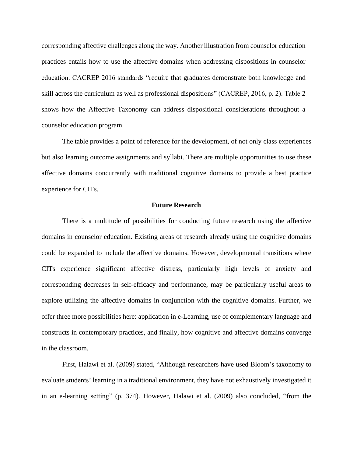corresponding affective challenges along the way. Another illustration from counselor education practices entails how to use the affective domains when addressing dispositions in counselor education. CACREP 2016 standards "require that graduates demonstrate both knowledge and skill across the curriculum as well as professional dispositions" (CACREP, 2016, p. 2). Table 2 shows how the Affective Taxonomy can address dispositional considerations throughout a counselor education program.

The table provides a point of reference for the development, of not only class experiences but also learning outcome assignments and syllabi. There are multiple opportunities to use these affective domains concurrently with traditional cognitive domains to provide a best practice experience for CITs.

### **Future Research**

There is a multitude of possibilities for conducting future research using the affective domains in counselor education. Existing areas of research already using the cognitive domains could be expanded to include the affective domains. However, developmental transitions where CITs experience significant affective distress, particularly high levels of anxiety and corresponding decreases in self-efficacy and performance, may be particularly useful areas to explore utilizing the affective domains in conjunction with the cognitive domains. Further, we offer three more possibilities here: application in e-Learning, use of complementary language and constructs in contemporary practices, and finally, how cognitive and affective domains converge in the classroom.

First, Halawi et al. (2009) stated, "Although researchers have used Bloom's taxonomy to evaluate students' learning in a traditional environment, they have not exhaustively investigated it in an e-learning setting" (p. 374). However, Halawi et al. (2009) also concluded, "from the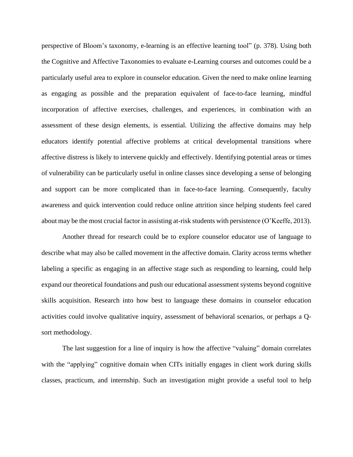perspective of Bloom's taxonomy, e-learning is an effective learning tool" (p. 378). Using both the Cognitive and Affective Taxonomies to evaluate e-Learning courses and outcomes could be a particularly useful area to explore in counselor education. Given the need to make online learning as engaging as possible and the preparation equivalent of face-to-face learning, mindful incorporation of affective exercises, challenges, and experiences, in combination with an assessment of these design elements, is essential. Utilizing the affective domains may help educators identify potential affective problems at critical developmental transitions where affective distress is likely to intervene quickly and effectively. Identifying potential areas or times of vulnerability can be particularly useful in online classes since developing a sense of belonging and support can be more complicated than in face-to-face learning. Consequently, faculty awareness and quick intervention could reduce online attrition since helping students feel cared about may be the most crucial factor in assisting at-risk students with persistence (O'Keeffe, 2013).

Another thread for research could be to explore counselor educator use of language to describe what may also be called movement in the affective domain. Clarity across terms whether labeling a specific as engaging in an affective stage such as responding to learning, could help expand our theoretical foundations and push our educational assessment systems beyond cognitive skills acquisition. Research into how best to language these domains in counselor education activities could involve qualitative inquiry, assessment of behavioral scenarios, or perhaps a Qsort methodology.

The last suggestion for a line of inquiry is how the affective "valuing" domain correlates with the "applying" cognitive domain when CITs initially engages in client work during skills classes, practicum, and internship. Such an investigation might provide a useful tool to help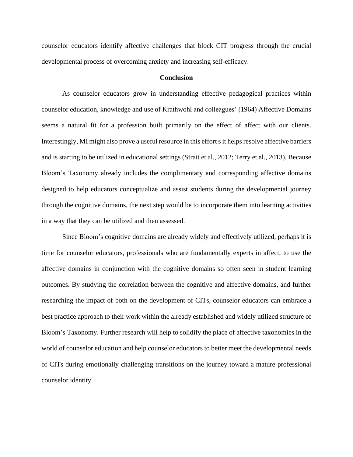counselor educators identify affective challenges that block CIT progress through the crucial developmental process of overcoming anxiety and increasing self-efficacy.

### **Conclusion**

As counselor educators grow in understanding effective pedagogical practices within counselor education, knowledge and use of Krathwohl and colleagues' (1964) Affective Domains seems a natural fit for a profession built primarily on the effect of affect with our clients. Interestingly, MI might also prove a useful resource in this effortsit helpsresolve affective barriers and is starting to be utilized in educational settings (Strait et al., 2012; Terry et al., 2013). Because Bloom's Taxonomy already includes the complimentary and corresponding affective domains designed to help educators conceptualize and assist students during the developmental journey through the cognitive domains, the next step would be to incorporate them into learning activities in a way that they can be utilized and then assessed.

Since Bloom's cognitive domains are already widely and effectively utilized, perhaps it is time for counselor educators, professionals who are fundamentally experts in affect, to use the affective domains in conjunction with the cognitive domains so often seen in student learning outcomes. By studying the correlation between the cognitive and affective domains, and further researching the impact of both on the development of CITs, counselor educators can embrace a best practice approach to their work within the already established and widely utilized structure of Bloom's Taxonomy. Further research will help to solidify the place of affective taxonomies in the world of counselor education and help counselor educators to better meet the developmental needs of CITs during emotionally challenging transitions on the journey toward a mature professional counselor identity.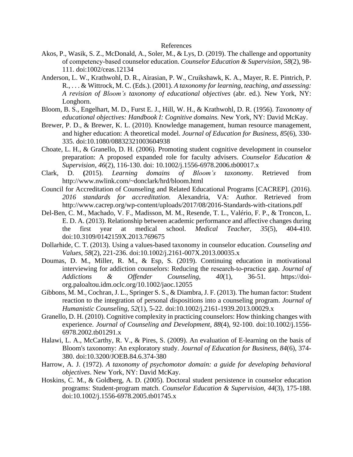#### References

- Akos, P., Wasik, S. Z., McDonald, A., Soler, M., & Lys, D. (2019). The challenge and opportunity of competency‐based counselor education. *Counselor Education & Supervision*, *58*(2), 98- 111. doi:1002/ceas.12134
- Anderson, L. W., Krathwohl, D. R., Airasian, P. W., Cruikshawk, K. A., Mayer, R. E. Pintrich, P. R., . . . & Wittrock, M. C. (Eds.). (2001). *A taxonomy for learning, teaching, and assessing: A revision of Bloom's taxonomy of educational objectives* (abr. ed.). New York, NY: Longhorn.
- Bloom, B. S., Engelhart, M. D., Furst E. J., Hill, W. H., & Krathwohl, D. R. (1956). *Taxonomy of educational objectives: Handbook I: Cognitive domains.* New York, NY: David McKay.
- Brewer, P. D., & Brewer, K. L. (2010). Knowledge management, human resource management, and higher education: A theoretical model. *Journal of Education for Business, 85*(6), 330- 335. doi:10.1080/08832321003604938
- Choate, L. H., & Granello, D. H. (2006). Promoting student cognitive development in counselor preparation: A proposed expanded role for faculty advisers. *Counselor Education & Supervision*, *46*(2), 116-130. doi: 10.1002/j.1556-6978.2006.tb00017.x
- Clark, D. **(**2015). *Learning domains of Bloom's taxonomy*. Retrieved from http://www.nwlink.com/~donclark/hrd/bloom.html
- Council for Accreditation of Counseling and Related Educational Programs [CACREP]. (2016). *2016 standards for accreditation.* Alexandria, VA: Author. Retrieved from http://www.cacrep.org/wp-content/uploads/2017/08/2016-Standards-with-citations.pdf
- Del-Ben, C. M., Machado, V. F., Madisson, M. M., Resende, T. L., Valério, F. P., & Troncon, L. E. D. A. (2013). Relationship between academic performance and affective changes during the first year at medical school. *Medical Teacher*, *35*(5), 404-410. doi:10.3109/0142159X.2013.769675
- Dollarhide, C. T. (2013). Using a values-based taxonomy in counselor education. *Counseling and Values*, *58*(2), 221-236. doi[:10.1002/j.2161-007X.2013.00035.x](https://doi.org/10.1002/j.2161-007X.2013.00035.x)
- Doumas, D. M., Miller, R. M., & Esp, S. (2019). Continuing education in motivational interviewing for addiction counselors: Reducing the research‐to‐practice gap. *Journal of Addictions & Offender Counseling*, *40*(1), 36-51. https://doiorg.paloaltou.idm.oclc.org/10.1002/jaoc.12055
- Gibbons, M. M., Cochran, J. L., Springer S. S., & Diambra,J. F. (2013). The human factor: Student reaction to the integration of personal dispositions into a counseling program. *Journal of Humanistic Counseling, 52*(1), 5-22. doi:10.1002/j.2161-1939.2013.00029.x
- Granello, D. H. (2010). Cognitive complexity in practicing counselors: How thinking changes with experience. *Journal of Counseling and Development*, *88*(4), 92-100. doi:10.1002/j.1556- 6978.2002.tb01291.x
- Halawi, L. A., McCarthy, R. V., & Pires, S. (2009). An evaluation of E-learning on the basis of Bloom's taxonomy: An exploratory study. *Journal of Education for Business*, *84*(6), 374- 380. [doi:10.3200/JOEB.84.6.374-380](javascript:popUpPublisher()
- Harrow, A. J. (1972). *A taxonomy of psychomotor domain: a guide for developing behavioral objectives*. New York, NY: David McKay.
- Hoskins, C. M., & Goldberg, A. D. (2005). Doctoral student persistence in counselor education programs: Student-program match. *Counselor Education & Supervision*, *44*(3), 175-188. doi:10.1002/j.1556-6978.2005.tb01745.x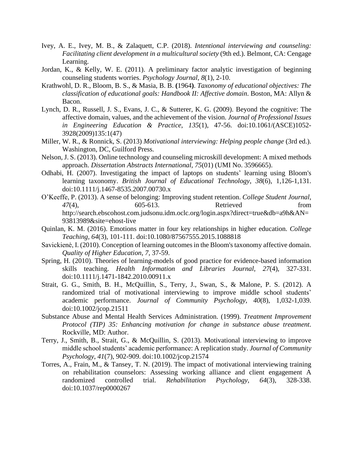- Ivey, A. E., Ivey, M. B., & Zalaquett, C.P. (2018). *Intentional interviewing and counseling: Facilitating client development in a multicultural society* (9th ed.). Belmont, CA: Cengage Learning.
- Jordan, K., & Kelly, W. E. (2011). A preliminary factor analytic investigation of beginning counseling students worries. *Psychology Journal*, *8*(1), 2-10.
- Krathwohl, D. R., Bloom, B. S., & Masia, B. B. **(**1964**)**. *Taxonomy of educational objectives: The classification of educational goals: Handbook II: Affective domain*. Boston, MA: Allyn & Bacon.
- Lynch, D. R., Russell, J. S., Evans, J. C., & Sutterer, K. G. (2009). Beyond the cognitive: The affective domain, values, and the achievement of the vision. *Journal of Professional Issues in Engineering Education & Practice*, *135*(1), 47-56. doi:10.1061/(ASCE)1052- 3928(2009)135:1(47)
- Miller, W. R., & Ronnick, S. (2013) *Motivational interviewing: Helping people change* (3rd ed.). Washington, DC, Guilford Press.
- Nelson, J. S. (2013). Online technology and counseling microskill development: A mixed methods approach. *Dissertation Abstracts International, 75*(01) (UMI No. 3596665).
- Odhabi, H. (2007). Investigating the impact of laptops on students' learning using Bloom's learning taxonomy. *British Journal of Educational Technology*, *38*(6), 1,126-1,131. doi:10.1111/j.1467-8535.2007.00730.x
- O'Keeffe, P. (2013). A sense of belonging: Improving student retention. *College Student Journal*, *47*(4), 605-613. Retrieved from http://search.ebscohost.com.judsonu.idm.oclc.org/login.aspx?direct=true&db=a9h&AN= 93813989&site=ehost-live
- Quinlan, K. M. (2016). Emotions matter in four key relationships in higher education. *College Teaching, 64*(3)*,* 101-111. doi:10.1080/87567555.2015.1088818
- Savickienė, I. (2010). Conception of learning outcomes in the Bloom's taxonomy affective domain. *Quality of Higher Education*, *7,* 37-59.
- Spring, H. (2010). Theories of learning-models of good practice for evidence-based information skills teaching. *Health Information and Libraries Journal, 27*(4), 327-331. doi:10.1111/j.1471-1842.2010.00911.x
- Strait, G. G., Smith, B. H., McQuillin, S., Terry, J., Swan, S., & Malone, P. S. (2012). A randomized trial of motivational interviewing to improve middle school students' academic performance. *Journal of Community Psychology*, *40*(8), 1,032-1,039. doi:10.1002/jcop.21511
- Substance Abuse and Mental Health Services Administration. (1999). *Treatment Improvement Protocol (TIP) 35: Enhancing motivation for change in substance abuse treatment*. Rockville, MD: Author.
- Terry, J., Smith, B., Strait, G., & McQuillin, S. (2013). Motivational interviewing to improve middle school students' academic performance: A replication study. *Journal of Community Psychology*, *41*(7), 902-909. doi:10.1002/jcop.21574
- Torres, A., Frain, M., & Tansey, T. N. (2019). The impact of motivational interviewing training on rehabilitation counselors: Assessing working alliance and client engagement A randomized controlled trial. *Rehabilitation Psychology*, *64*(3), 328-338. doi:10.1037/rep0000267